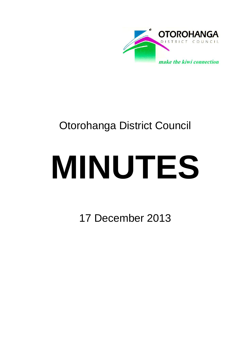

## Otorohanga District Council

# **MINUTES**

17 December 2013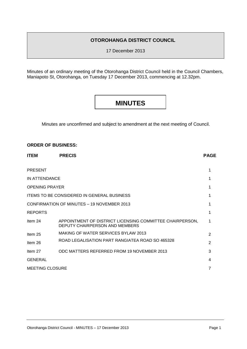#### **OTOROHANGA DISTRICT COUNCIL**

17 December 2013

Minutes of an ordinary meeting of the Otorohanga District Council held in the Council Chambers, Maniapoto St, Otorohanga, on Tuesday 17 December 2013, commencing at 12.32pm.

### **MINUTES**

Minutes are unconfirmed and subject to amendment at the next meeting of Council.

#### **ORDER OF BUSINESS:**

| <b>ITEM</b>                                       | <b>PRECIS</b>                                                                              | <b>PAGE</b> |  |
|---------------------------------------------------|--------------------------------------------------------------------------------------------|-------------|--|
| <b>PRESENT</b>                                    |                                                                                            |             |  |
| IN ATTENDANCE                                     |                                                                                            |             |  |
| <b>OPENING PRAYER</b>                             |                                                                                            |             |  |
| <b>ITEMS TO BE CONSIDERED IN GENERAL BUSINESS</b> |                                                                                            |             |  |
| <b>CONFIRMATION OF MINUTES - 19 NOVEMBER 2013</b> |                                                                                            |             |  |
| <b>REPORTS</b>                                    |                                                                                            |             |  |
| Item 24                                           | APPOINTMENT OF DISTRICT LICENSING COMMITTEE CHAIRPERSON,<br>DEPUTY CHAIRPERSON AND MEMBERS |             |  |
| Item 25                                           | <b>MAKING OF WATER SERVICES BYLAW 2013</b>                                                 |             |  |
| Item 26                                           | ROAD LEGALISATION PART RANGIATEA ROAD SO 465328                                            |             |  |
| Item 27                                           | ODC MATTERS REFERRED FROM 19 NOVEMBER 2013                                                 | 3           |  |
| <b>GENERAL</b>                                    |                                                                                            | 4           |  |
| <b>MEETING CLOSURE</b>                            |                                                                                            |             |  |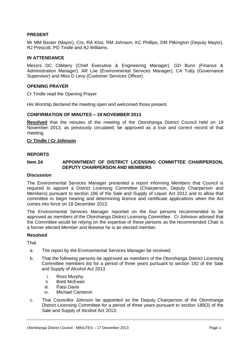#### **PRESENT**

Mr MM Baxter (Mayor), Crs, RA Klos, RM Johnson, KC Phillips, DM Pilkington (Deputy Mayor), RJ Prescott, PD Tindle and AJ Williams.

#### **IN ATTENDANCE**

Messrs DC Clibbery (Chief Executive & Engineering Manager), GD Bunn (Finance & Administration Manager), AR Loe (Environmental Services Manager), CA Tutty (Governance Supervisor) and Miss D Levy (Customer Services Officer).

#### **OPENING PRAYER**

Cr Tindle read the Opening Prayer

His Worship declared the meeting open and welcomed those present.

#### **CONFIRMATION OF MINUTES – 19 NOVEMBER 2013**

**Resolved** that the minutes of the meeting of the Otorohanga District Council held on 19 November 2013, as previously circulated, be approved as a true and correct record of that meeting.

#### **Cr Tindle / Cr Johnson**

#### **REPORTS**

#### **Item 24 APPOINTMENT OF DISTRICT LICENSING COMMITTEE CHAIRPERSON, DEPUTY CHAIRPERSON AND MEMBERS**

#### **Discussion**

The Environmental Services Manager presented a report informing Members that Council is required to appoint a District Licensing Committee (Chairperson, Deputy Chairperson and Members) pursuant to section 186 of the Sale and Supply of Liquor Act 2012 and to allow that committee to begin hearing and determining licence and certificate applications when the Act comes into force on 18 December 2013.

The Environmental Services Manager reported on the four persons recommended to be approved as members of the Otorohanga District Licensing Committee. Cr Johnson advised that the Committee would be relying on the expertise of these persons as the recommended Chair is a former elected Member and likewise he is an elected member.

#### **Resolved**

**That** 

- a. The report by the Environmental Services Manager be received;
- b. That the following persons be approved as members of the Otorohanga District Licensing Committee members list for a period of three years pursuant to section 192 of the Sale and Supply of Alcohol Act 2013
	- i. Ross Murphy
	- ii. Brett McEwan
	- iii. Patsi Davis
	- iv. Michael Cameron
- c. That Councillor Johnson be appointed as the Deputy Chairperson of the Otorohanga District Licensing Committee for a period of three years pursuant to section 189(3) of the Sale and Supply of Alcohol Act 2013;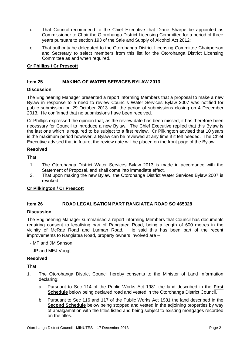- d. That Council recommend to the Chief Executive that Diane Sharpe be appointed as Commissioner to Chair the Otorohanga District Licensing Committee for a period of three years pursuant to section 193 of the Sale and Supply of Alcohol Act 2012;
- e. That authority be delegated to the Otorohanga District Licensing Committee Chairperson and Secretary to select members from this list for the Otorohanga District Licensing Committee as and when required.

#### **Cr Phillips / Cr Prescott**

#### **Item 25 MAKING OF WATER SERVICES BYLAW 2013**

#### **Discussion**

The Engineering Manager presented a report informing Members that a proposal to make a new Bylaw in response to a need to review Councils Water Services Bylaw 2007 was notified for public submission on 29 October 2013 with the period of submissions closing on 4 December 2013. He confirmed that no submissions have been received.

Cr Phillips expressed the opinion that, as the review date has been missed, it has therefore been necessary for Council to introduce a new Bylaw. The Chief Executive replied that this Bylaw is the last one which is required to be subject to a first review. Cr Pilkington advised that 10 years is the maximum period however, a Bylaw can be reviewed at any time if it felt needed. The Chief Executive advised that in future, the review date will be placed on the front page of the Bylaw.

#### **Resolved**

**That** 

- 1. The Otorohanga District Water Services Bylaw 2013 is made in accordance with the Statement of Proposal, and shall come into immediate effect.
- 2. That upon making the new Bylaw, the Otorohanga District Water Services Bylaw 2007 is revoked.

#### **Cr Pilkington / Cr Prescott**

#### **Item 26 ROAD LEGALISATION PART RANGIATEA ROAD SO 465328**

#### **Discussion**

The Engineering Manager summarised a report informing Members that Council has documents requiring consent to legalising part of Rangiatea Road, being a length of 600 metres in the vicinity of McRae Road and Lurman Road. He said this has been part of the recent improvements to Rangiatea Road, property owners involved are –

- MF and JM Sanson

- JP and MEJ Voogt

#### **Resolved**

**That** 

- 1. The Otorohanga District Council hereby consents to the Minister of Land Information declaring:
	- a. Pursuant to Sec 114 of the Public Works Act 1981 the land described in the **First Schedule** below being declared road and vested in the Otorohanga District Council.
	- b. Pursuant to Sec 116 and 117 of the Public Works Act 1981 the land described in the **Second Schedule** below being stopped and vested in the adjoining properties by way of amalgamation with the titles listed and being subject to existing mortgages recorded on the titles.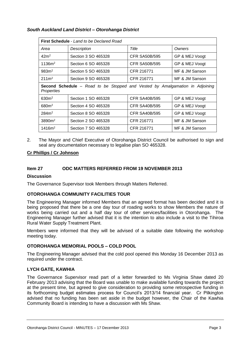#### *South Auckland Land District – Otorohanga District*

| <b>First Schedule</b> - Land to be Declared Road                                                  |                     |                      |                |  |
|---------------------------------------------------------------------------------------------------|---------------------|----------------------|----------------|--|
| Area                                                                                              | Description         | Title                | Owners         |  |
| 42 <sup>m²</sup>                                                                                  | Section 3 SO 465328 | <b>CFR SA50B/595</b> | GP & MEJ Voogt |  |
| 1136m <sup>2</sup>                                                                                | Section 6 SO 465328 | <b>CFR SA50B/595</b> | GP & MEJ Voogt |  |
| 983m <sup>2</sup>                                                                                 | Section 5 SO 465328 | CFR 216771           | MF & JM Sanson |  |
| 211 <sup>m²</sup>                                                                                 | Section 9 SO 465328 | CFR 216771           | MF & JM Sanson |  |
| <b>Second Schedule</b> – Road to be Stopped and Vested by Amalgamation in Adjoining<br>Properties |                     |                      |                |  |
| $630m^2$                                                                                          | Section 1 SO 465328 | <b>CFR SA40B/595</b> | GP & MEJ Voogt |  |
| 680m <sup>2</sup>                                                                                 | Section 4 SO 465328 | <b>CFR SA40B/595</b> | GP & MEJ Voogt |  |
| $284m^2$                                                                                          | Section 8 SO 465328 | <b>CFR SA40B/595</b> | GP & MEJ Voogt |  |
| 3890m <sup>2</sup>                                                                                | Section 2 SO 465328 | CFR 216771           | MF & JM Sanson |  |
| 1416m <sup>2</sup>                                                                                | Section 7 SO 465328 | CFR 216771           | MF & JM Sanson |  |

2. The Mayor and Chief Executive of Otorohanga District Council be authorised to sign and seal any documentation necessary to legalise plan SO 465328.

#### **Cr Phillips / Cr Johnson**

#### **Item 27 ODC MATTERS REFERRED FROM 19 NOVEMBER 2013**

#### **Discussion**

The Governance Supervisor took Members through Matters Referred.

#### **OTOROHANGA COMMUNITY FACILITIES TOUR**

The Engineering Manager informed Members that an agreed format has been decided and it is being proposed that there be a one day tour of roading works to show Members the nature of works being carried out and a half day tour of other services/facilities in Otorohanga. The Engineering Manager further advised that it is the intention to also include a visit to the Tihiroa Rural Water Supply Treatment Plant.

Members were informed that they will be advised of a suitable date following the workshop meeting today.

#### **OTOROHANGA MEMORIAL POOLS – COLD POOL**

The Engineering Manager advised that the cold pool opened this Monday 16 December 2013 as required under the contract.

#### **LYCH GATE, KAWHIA**

The Governance Supervisor read part of a letter forwarded to Ms Virginia Shaw dated 20 February 2013 advising that the Board was unable to make available funding towards the project at the present time, but agreed to give consideration to providing some retrospective funding in its forthcoming budget estimates process for Council's 2013/14 financial year. Cr Pilkington advised that no funding has been set aside in the budget however, the Chair of the Kawhia Community Board is intending to have a discussion with Ms Shaw.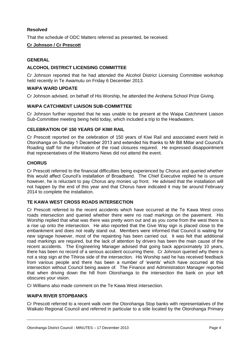#### **Resolved**

That the schedule of ODC Matters referred as presented, be received.

#### **Cr Johnson / Cr Prescott**

#### **GENERAL**

#### **ALCOHOL DISTRICT LICENSING COMMITTEE**

Cr Johnson reported that he had attended the Alcohol District Licensing Committee workshop held recently in Te Awamutu on Friday 6 December 2013.

#### **WAIPA WARD UPDATE**

Cr Johnson advised, on behalf of His Worship, he attended the Arohena School Prize Giving.

#### **WAIPA CATCHMENT LIAISON SUB-COMMITTEE**

Cr Johnson further reported that he was unable to be present at the Waipa Catchment Liaison Sub-Committee meeting being held today, which included a trip to the Headwaters.

#### **CELEBRATION OF 150 YEARS OF KIWI RAIL**

Cr Prescott reported on the celebration of 150 years of Kiwi Rail and associated event held in Otorohanga on Sunday 1 December 2013 and extended his thanks to Mr Bill Millar and Council's Roading staff for the information of the road closures required. He expressed disappointment that representatives of the Waitomo News did not attend the event.

#### **CHORUS**

Cr Prescott referred to the financial difficulties being experienced by Chorus and queried whether this would affect Council's installation of Broadband. The Chief Executive replied he is unsure however, he is reluctant to pay Chorus any monies up front. He advised that the installation will not happen by the end of this year and that Chorus have indicated it may be around February 2014 to complete the installation.

#### **TE KAWA WEST CROSS ROADS INTERSECTION**

Cr Prescott referred to the recent accidents which have occurred at the Te Kawa West cross roads intersection and queried whether there were no road markings on the pavement. His Worship replied that what was there was pretty worn out and as you come from the west there is a rise up onto the intersection. He also reported that the Give Way sign is placed close to the embankment and does not really stand out. Members were informed that Council is waiting for new signage however, most of the repainting has been carried out. It was felt that additional road markings are required, but the lack of attention by drivers has been the main cause of the recent accidents. The Engineering Manager advised that going back approximately 10 years, there has been no record of a serious accident occurring there. Cr Johnson queried why there is not a stop sign at the Tihiroa side of the intersection. His Worship said he has received feedback from various people and there has been a number of 'events' which have occurred at this intersection without Council being aware of. The Finance and Administration Manager reported that when driving down the hill from Otorohanga to the intersection the bank on your left obscures your vision.

Cr Williams also made comment on the Te Kawa West intersection.

#### **WAIPA RIVER STOPBANKS**

Cr Prescott referred to a recent walk over the Otorohanga Stop banks with representatives of the Waikato Regional Council and referred in particular to a stile located by the Otorohanga Primary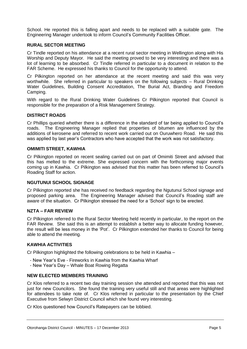School. He reported this is falling apart and needs to be replaced with a suitable gate. The Engineering Manager undertook to inform Council's Community Facilities Officer.

#### **RURAL SECTOR MEETING**

Cr Tindle reported on his attendance at a recent rural sector meeting in Wellington along with His Worship and Deputy Mayor. He said the meeting proved to be very interesting and there was a lot of learning to be absorbed. Cr Tindle referred in particular to a document in relation to the FAR Scheme. He expressed his thanks to Council for the opportunity to attend.

Cr Pilkington reported on her attendance at the recent meeting and said this was very worthwhile. She referred in particular to speakers on the following subjects – Rural Drinking Water Guidelines, Building Consent Accreditation, The Burial Act, Branding and Freedom Camping.

With regard to the Rural Drinking Water Guidelines Cr Pilkington reported that Council is responsible for the preparation of a Risk Management Strategy.

#### **DISTRICT ROADS**

Cr Phillips queried whether there is a difference in the standard of tar being applied to Council's roads. The Engineering Manager replied that properties of bitumen are influenced by the additions of kerosene and referred to recent work carried out on Ouruwhero Road. He said this was applied by last year's Contractors who have accepted that the work was not satisfactory.

#### **OMIMITI STREET, KAWHIA**

Cr Pilkington reported on recent sealing carried out on part of Omimiti Street and advised that this has melted to the extreme. She expressed concern with the forthcoming major events coming up in Kawhia. Cr Pilkington was advised that this matter has been referred to Council's Roading Staff for action.

#### **NGUTUNUI SCHOOL SIGNAGE**

Cr Pilkington reported she has received no feedback regarding the Ngutunui School signage and proposed parking area. The Engineering Manager advised that Council's Roading staff are aware of the situation. Cr Pilkington stressed the need for a 'School' sign to be erected.

#### **NZTA – FAR REVIEW**

Cr Pilkington referred to the Rural Sector Meeting held recently in particular, to the report on the FAR Review. She said this is an attempt to establish a better way to allocate funding however, the result will be less money in the 'Pot'. Cr Pilkington extended her thanks to Council for being able to attend the meeting.

#### **KAWHIA ACTIVITIES**

Cr Pilkington highlighted the following celebrations to be held in Kawhia –

- New Year's Eve Fireworks in Kawhia from the Kawhia Wharf
- New Year's Day Whale Boat Rowing Regatta

#### **NEW ELECTED MEMBERS TRAINING**

Cr Klos referred to a recent two day training session she attended and reported that this was not just for new Councilors. She found the training very useful still and that areas were highlighted for attendees to take note of. Cr Klos referred in particular to the presentation by the Chief Executive from Selwyn District Council which she found very interesting.

Cr Klos questioned how Council's Ratepayers can be lobbied.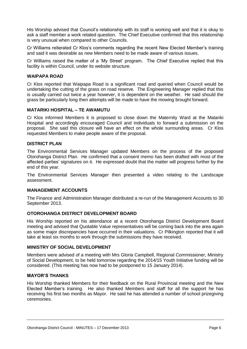His Worship advised that Council's relationship with its staff is working well and that it is okay to ask a staff member a work related question. The Chief Executive confirmed that this relationship is very unusual when compared to other Councils.

Cr Williams reiterated Cr Klos's comments regarding the recent New Elected Member's training and said it was desirable as new Members need to be made aware of various issues.

Cr Williams raised the matter of a 'My Street' program. The Chief Executive replied that this facility is within Council, under its website structure.

#### **WAIPAPA ROAD**

Cr Klos reported that Waipapa Road is a significant road and queried when Council would be undertaking the cutting of the grass on road reserve. The Engineering Manager replied that this is usually carried out twice a year however, it is dependent on the weather. He said should the grass be particularly long then attempts will be made to have the mowing brought forward.

#### **MATARIKI HOSPITAL – TE AWAMUTU**

Cr Klos informed Members it is proposed to close down the Maternity Ward at the Matariki Hospital and accordingly encouraged Council and individuals to forward a submission on the proposal. She said this closure will have an effect on the whole surrounding areas. Cr Klos requested Members to make people aware of the proposal.

#### **DISTRICT PLAN**

The Environmental Services Manager updated Members on the process of the proposed Otorohanga District Plan. He confirmed that a consent memo has been drafted with most of the affected parties' signatures on it. He expressed doubt that the matter will progress further by the end of this year.

The Environmental Services Manager then presented a video relating to the Landscape assessment.

#### **MANAGEMENT ACCOUNTS**

The Finance and Administration Manager distributed a re-run of the Management Accounts to 30 September 2013.

#### **OTOROHANGA DISTRICT DEVELOPMENT BOARD**

His Worship reported on his attendance at a recent Otorohanga District Development Board meeting and advised that Quotable Value representatives will be coming back into the area again as some major discrepancies have occurred in their valuations. Cr Pilkington reported that it will take at least six months to work through the submissions they have received.

#### **MINISTRY OF SOCIAL DEVELOPMENT**

Members were advised of a meeting with Mrs Gloria Campbell, Regional Commissioner, Ministry of Social Development, to be held tomorrow regarding the 2014/15 Youth Initiative funding will be considered. (This meeting has now had to be postponed to 15 January 2014).

#### **MAYOR'S THANKS**

His Worship thanked Members for their feedback on the Rural Provincial meeting and the New Elected Member's training. He also thanked Members and staff for all the support he has receiving his first two months as Mayor. He said he has attended a number of school prizegiving ceremonies.